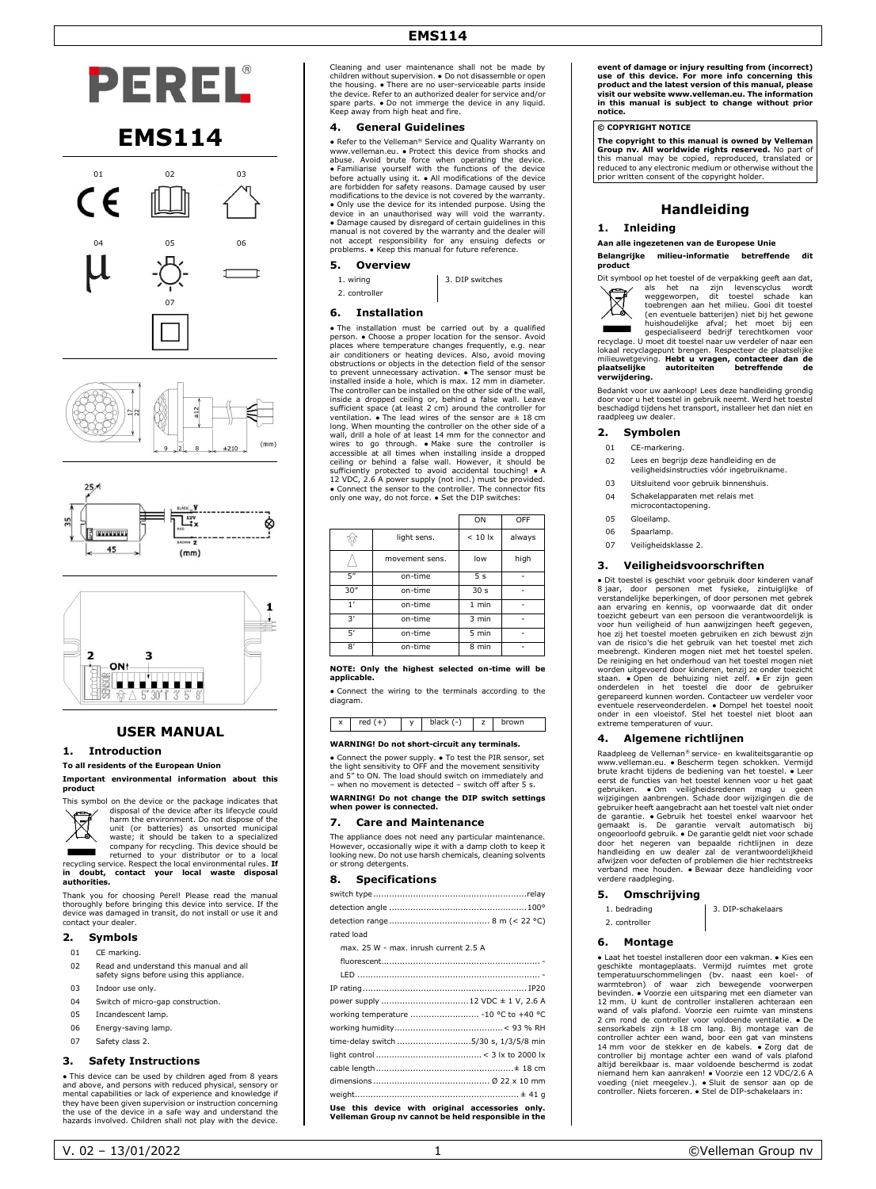# **EMS114**



# **EMS114**









# **USER MANUAL**

#### **1. Introduction**

#### **To all residents of the European Union Important environmental information about this**



 $\boxtimes$ harm the environment. Do not dispose of the unit (or batteries) as unsorted municipal waste; it should be taken to a specialized

company for recycling. This device should be<br>recycling service. Respect the local environmental rules. **If**<br>**in doubt, contact your local environmental rules. <b>If**<br>**in doubt, contact your local waste disposal authorities.**

Thank you for choosing Perel! Please read the manual thoroughly before bringing this device into service. If the device was damaged in transit, do not install or use it and contact your dealer.

## **2. Symbols**

- 01 CE marking.
- 02 Read and understand this manual and all safety signs before using this appliance.
- 03 Indoor use only.
- 04 Switch of micro-gap construction.
- 05 Incandescent lamp.
- 06 Energy-saving lamp.
- 07 Safety class 2.

#### **3. Safety Instructions**

• This device can be used by children aged from 8 years and above, and persons with reduced physical, sensory or mental capabilities or lack of experience and knowledge if they have been given supervision or instruction concerning the use of the device in a safe way and understand the hazards involved. Children shall not play with the device. Cleaning and user maintenance shall not be made by children without supervision. ● Do not disassemble or open the housing.  $\bullet$  There are no user-serviceable parts inside<br>the device. Refer to an authorized dealer for service and/or<br>spare parts.  $\bullet$  Do not immerge the device in any liquid.<br>Keep away from high heat and fire.

## **4. General Guidelines**

• Refer to the Velleman® Service and Quality Warranty on www.velleman.eu. ● Protect this device from shocks and abuse. Avoid brute force when operating the device.<br>• Familiarise yourself with the functions of the device<br>before actually using it. • All modifications of the device<br>are forbidden for safety reasons. Damage caused by use modifications to the device is not covered by the warranty. • Only use the device for its intended purpose. Using the<br>device in an unauthorised way will void the warranty.<br>• Damage caused by disregard of certain guidelines in this<br>manual is not covered by the warranty and the deale not accept responsibility for any ensuing defects or problems. ● Keep this manual for future reference.

#### **5. Overview**

2. controller

1. wiring 3. DIP switches

#### **6. Installation**

● The installation must be carried out by a qualified person. ● Choose a proper location for the sensor. Avoid places where temperature changes frequently, e.g. near air conditioners or heating devices. Also, avoid moving<br>obstructions or objects in the detection field of the sensor<br>to prevent unnecessary activation.  $\bullet$  The sensor must be<br>installed inside a hole, which is max. 12 mm i The controller can be installed on the other side of the wall,<br>inside a dropped ceiling or, behind a false wall. Leave<br>sufficient space (at least 2 cm) around the controller for<br>ventilation. • The lead wires of the sensor long. When mounting the controller on the other side of a<br>wall, drill a hole of at least 14 mm for the connector and<br>wires to go through. • Make sure the controller is<br>accessible at all times when installing inside a dropp ceiling or behind a false wall. However, it should be sufficiently protected to avoid accidental touching! • A<br>12 VDC, 2.6 A power supply (not incl.) must be provided.<br>• Connect the sensor to the controller. The connector fits only one way, do not force. ● Set the DIP switches:

|                |                | ON               | OFF    |
|----------------|----------------|------------------|--------|
|                | light sens.    | $< 10$ $\vert x$ | always |
|                | movement sens. | low              | high   |
| 5"             | on-time        | 5 <sub>s</sub>   |        |
| 30''           | on-time        | 30 <sub>s</sub>  |        |
| 1'             | on-time        | $1$ min          |        |
| $\mathcal{R}'$ | on-time        | 3 min            |        |
| 5'             | on-time        | 5 min            |        |
| 8'             | on-time        | 8 min            |        |

#### **NOTE: Only the highest selected on-time will be applica**

● Connect the wiring to the terminals according to the diagram.

| v<br>ᆺ | $\overline{\phantom{a}}$ | ، ا | ÷,<br>- | wn. |
|--------|--------------------------|-----|---------|-----|
|        |                          |     |         |     |

#### **WARNING! Do not short-circuit any terminals.**

• Connect the power supply. • To test the PIR sensor, set<br>the light sensitivity to OFF and the movement sensitivity<br>and 5" to ON. The load should switch on immediately and<br>- when no movement is detected - switch off after

**WARNING! Do not change the DIP switch settings when power is connected.**

#### **7. Care and Maintenance**

The appliance does not need any particular maintenance. However, occasionally wipe it with a damp cloth to keep it looking new. Do not use harsh chemicals, cleaning solvents or strong detergents.

#### **8. Specifications**

| rated load                                                                                             |
|--------------------------------------------------------------------------------------------------------|
| max, 25 W - max, inrush current 2.5 A                                                                  |
|                                                                                                        |
|                                                                                                        |
|                                                                                                        |
|                                                                                                        |
| working temperature  - 10 °C to +40 °C                                                                 |
|                                                                                                        |
| time-delay switch 5/30 s, 1/3/5/8 min                                                                  |
|                                                                                                        |
|                                                                                                        |
|                                                                                                        |
|                                                                                                        |
| Use this device with original accessories only.<br>Velleman Group nv cannot be held responsible in the |

**event of damage or injury resulting from (incorrect)**  use of this device. For more info concerning this<br>product and the latest version of this manual, please<br>visit our website www.velleman.eu. The information<br>in this manual is subject to change without prior **notice.**

#### **© COPYRIGHT NOTICE**

**The copyright to this manual is owned by Velleman Group nv. All worldwide rights reserved.** No part of this manual may be copied, reproduced, translated or reduced to any electronic medium or otherwise without the prior written consent of the copyright holder.

# **Handleiding**

#### **1. Inleiding**

**Aan alle ingezetenen van de Europese Unie**

# **Belangrijke milieu-informatie betreffende dit product**

 $\boxtimes$ 

Dit symbool op het toestel of de verpakking geeft aan dat, als het na zijn levenscyclus wordt weggeworpen, dit toestel schade kan toebrengen aan het milieu. Gooi dit toestel (en eventuele batterijen) niet bij het gewone huishoudelijke afval; het moet bij een gespecialiseerd bedrijf terechtkomen voor recyclage. U moet dit toestel naar uw verdeler of naar een

lokaal recyclagepunt brengen. Respecteer de plaatselijke milieuwetgeving. **Hebt u vragen, contacteer dan de plaatselijke autoriteiten betreffende de**  rnmeuwetgevme<br>**plaatselijke**<br>verwiidering.

Bedankt voor uw aankoop! Lees deze handleiding grondig door voor u het toestel in gebruik neemt. Werd het toestel beschadigd tijdens het transport, installeer het dan niet en raadpleeg uw dealer.

#### **2. Symbolen**

- 01 CE-markering.
- 02 Lees en begrijp deze handleiding en de
- veiligheidsinstructies vóór ingebruikname. 03 Uitsluitend voor gebruik binnenshuis.
- 04 Schakelapparaten met relais met
- microcontactopening
- 05 Gloeilamp.
- 06 Spaarlamp.
- 07 Veiligheidsklasse 2.

#### **3. Veiligheidsvoorschriften**

● Dit toestel is geschikt voor gebruik door kinderen vanaf 8 jaar, door personen met fysieke, zintuiglijke of verstandelijke beperkingen, of door personen met gebrek aan ervaring en kennis, op voorwaarde dat dit onder toezicht gebeurt van een persoon die verantwoordelijk is<br>voor hun veiligheid of hun aanwijzingen heeft gegeven,<br>hoe zij het toestel moeten gebruiken en zich bewust zijn<br>van de risico's die het gebruik van het toestel met z De reiniging en het onderhoud van het toestel mogen niet onder<br>worden uitgevoerd door kinderen, tenzij ze onder toezicht<br>staan. • Open de behuizing niet zelf. • Er zijn geen<br>onderdelen in het toestel die door de gebruiker extreme temperaturen of vuur.

#### **4. Algemene richtlijnen**

Raadpleeg de Velleman® service- en kwaliteitsgarantie op www.velleman.eu. • Bescherm tegen schokken. Vermijd<br>brute kracht tijdens de bediening van het toestel. • Leer<br>eerst de functies van het toestel kennen voor u het gaat<br>gebruiken. • Om veiligheidsredenen mag u geen<br>wijziging gebruiker heeft aangebracht aan het toestel valt niet onder de garantie. ● Gebruik het toestel enkel waarvoor het gemaakt is. De garantie vervalt automatisch bij<br>ongeoorloofd gebruik. De garantie geldt niet voor schade<br>door het negeren van bepaalde richtlijnen in deze<br>handleiding en uw dealer zal de verantwoordelijkheid<br>afwijzen voor verband mee houden. ● Bewaar deze handleiding voor verdere raadpleging.

#### **5. Omschrijving**

- 1. bedrading **1. bedrading** 3. DIP-schakelaars
- 2. controller

## **6. Montage**

• Laat het tosetel installeren door een vakman. • Kies een vakman • Kies een geschikte montageplaats. Vermijd ruimtes met grote temperatuurschommelingen (bv. naast een koel- of bevinden. • Voorzie een uitsparing met een d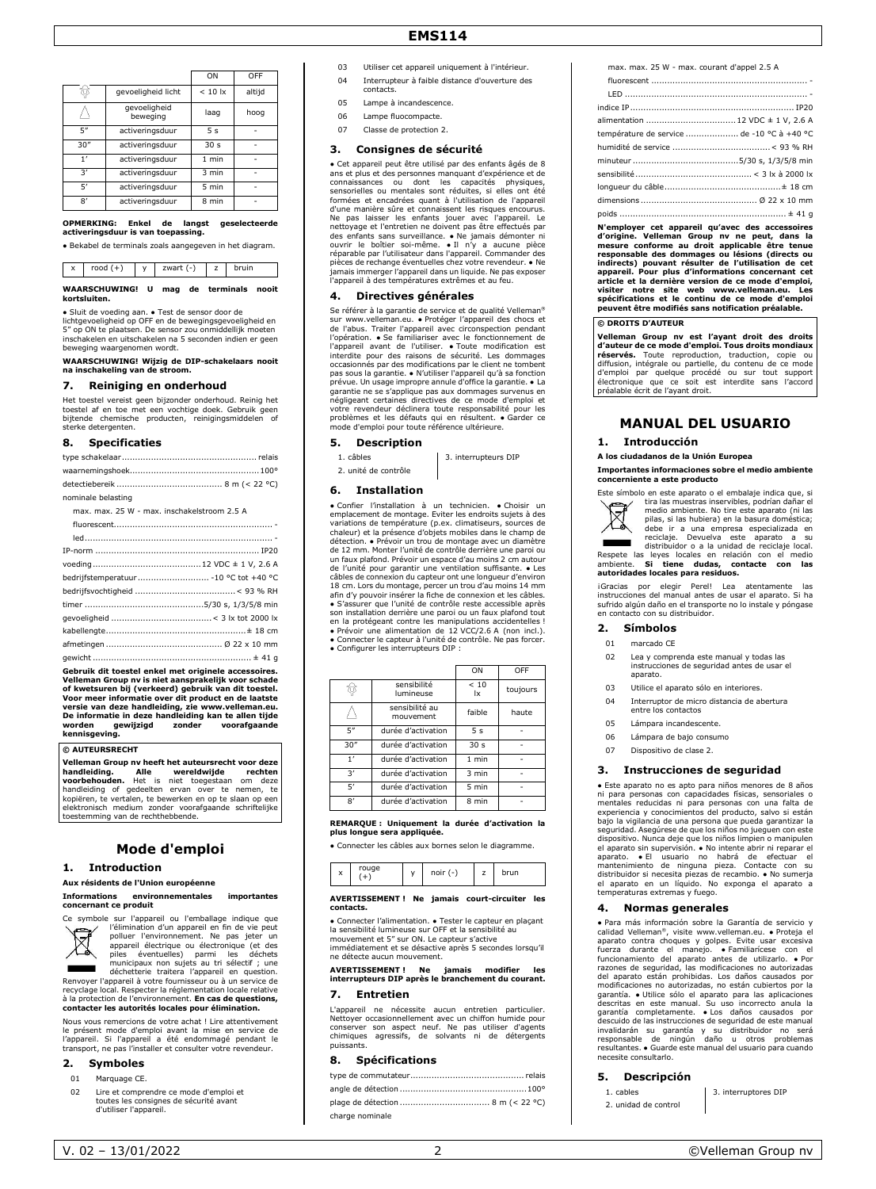|               |                          | ON               | OFF    |
|---------------|--------------------------|------------------|--------|
|               | gevoeligheid licht       | $< 10$ $\vert x$ | altijd |
|               | gevoeligheid<br>beweging | laag             | hoog   |
| 5"            | activeringsduur          | 5 <sub>s</sub>   |        |
| 30''          | activeringsduur          | 30 <sub>s</sub>  |        |
| $\mathbf{1}'$ | activeringsduur          | $1$ min          |        |
| 3'            | activeringsduur          | 3 min            |        |
| 5'            | activeringsduur          | 5 min            |        |
| $\mathsf{R}'$ | activeringsduur          | 8 min            |        |

#### **OPMERKING: Enkel de langst geselecteerde activeringsduur is van toepassing.**

● Bekabel de terminals zoals aangegeven in het diagram.

x rood (+) y zwart (-) z bruin **WAARSCHUWING! U mag de terminals nooit kortsluiten.**

● Sluit de voeding aan. ● Test de sensor door de

lichtgevoeligheid op OFF en de bewegingsgevoeligheid en 5" op ON te plaatsen. De sensor zou onmiddellijk moeten inschakelen en uitschakelen na 5 seconden indien er geen beweging waargenomen wordt.

**WAARSCHUWING! Wijzig de DIP-schakelaars nooit na inschakeling van de stroom.**

# **7. Reiniging en onderhoud**

Het toestel vereist geen bijzonder onderhoud. Reinig het toestel af en toe met een vochtige doek. Gebruik geen bijtende chemische producten, reinigingsmiddelen of sterke detergenten.

#### **8. Specificaties**

| nominale belasting                          |
|---------------------------------------------|
| max, max, 25 W - max, inschakelstroom 2.5 A |
|                                             |
|                                             |
|                                             |
|                                             |
| bedrijfstemperatuur  - 10 °C tot +40 °C     |
|                                             |
|                                             |
|                                             |
|                                             |
|                                             |
|                                             |

**Gebruik dit toestel enkel met originele accessoires. Velleman Group nv is niet aansprakelijk voor schade**  of kwetsuren bij (verkeerd) gebruik van dit toestel.<br>Voor meer informatie over dit product en de laatste<br>versie van deze handleiding, zie www.velleman.eu.<br>De informatie in deze handleiding kan te allen tijde<br>worden gewijzi

#### **© AUTEURSRECHT**

**Velleman Group nv heeft het auteursrecht voor deze handleiding. Alle wereldwijde rechten voorbehouden.** Het is niet toegestaan om deze handleiding of gedeelten ervan over te nemen, te kopiëren, te vertalen, te bewerken en op te slaan op een elektronisch medium zonder voorafgaande schriftelijke toestemming van de rechthebbende.

# **Mode d'emploi**

#### **1. Introduction**

# **Aux résidents de l'Union européenne**

#### **Informations environnementales importantes concernant ce produit**



Ce symbole sur l'appareil ou l'emballage indique que l'élimination d'un appareil en fin de vie peut polluer l'environnement. Ne pas jeter un appareil électrique ou électronique (et des piles éventuelles) parmi les déchets municipaux non sujets au tri sélectif ; une déchetterie traitera l'appareil en question.

Renvoyer l'appareil à votre fournisseur ou à un service de recyclage local. Respecter la réglementation locale relative à la protection de l'environnement. **En cas de questions, contacter les autorités locales pour élimination.**

Nous vous remercions de votre achat ! Lire attentivement le présent mode d'emploi avant la mise en service de l'appareil. Si l'appareil a été endommagé pendant le transport, ne pas l'installer et consulter votre revendeur.

#### **2. Symboles**

#### 01 Marquage CF

02 Lire et comprendre ce mode d'emploi et toutes les consignes de sécurité avant d'utiliser l'appareil.

- 03 Utiliser cet appareil uniquement à l'intérieur. 04 Interrupteur à faible distance d'ouverture des contacts.
- 05 Lampe à incandescence.
- 06 Lampe fluocompacte.
- 07 Classe de protection 2.

### **3. Consignes de sécurité**

● Cet appareil peut être utilisé par des enfants âgés de 8 ans et plus et des personnes manquant d'expérience et de connaissances ou dont les capacités physiques, sensorielles ou mentales sont réduites, si elles ont été formées et encadrées quant à l'utilisation de l'appareil<br>d'une manière sûre et connaissent les risques encourus.<br>Ne pas laisser les enfants jouer avec l'appareil. Le<br>nettoyage et l'entretien ne doivent pas être effectués p des enfants sans surveillance. • Ne jamais démonter ni<br>ouvrir le boîtier soi-même. • Il n'y a aucune pièce<br>réparable par l'utilisateur dans l'appareil. Commander des pièces de rechange éventuelles chez votre revendeur. ● Ne jamais immerger l'appareil dans un liquide. Ne pas exposer l'appareil à des températures extrêmes et au feu.

#### **4. Directives générales**

Se référer à la garantie de service et de qualité Velleman® sur www.velleman.eu. • Protéger l'appareil des chocs et<br>de l'abus. Traiter l'appareil avec circonspection pendant<br>l'opération. • Se familiariser avec le fonctionnement de l'appareil avant de l'utiliser. • Toute modification est<br>interdite pour des raisons de sécurité. Les dommages<br>occasionnés par des modifications par le client ne tombent<br>pas sous la garantie. • N'utiliser l'appareil qu'à sa prévue. Un usage impropre annule d'office la garantie. ● La garantie ne se s'applique pas aux dommages survenus en négligeant certaines directives de ce mode d'emploi et votre revendeur déclinera toute responsabilité pour les problèmes et les défauts qui en résultent. ● Garder ce mode d'emploi pour toute référence ultérieure.

#### **5. Description**

1. câbles 3. interrupteurs DIP

2. unité de contrôle

#### **6. Installation**

● Confier l'installation à un technicien. ● Choisir un emplacement de montage. Eviter les endroits sujets à des variations de température (p.ex. climatiseurs, sources de chaleur) et la présence d'objets mobiles dans le champ de détection. ● Prévoir un trou de montage avec un diamètre de 12 mm. Monter l'unité de contrôle derrière une paroi ou un faux plafond. Prévoir un espace d'au moins 2 cm autour de l'unité pour garantir une ventilation suffisante. ● Les câbles de connexion du capteur ont une longueur d'environ 18 cm. Lors du montage, percer un trou d'au moins 14 mm afin d'y pouvoir insérer la fiche de connexion et les câbles. ● S'assurer que l'unité de contrôle reste accessible après son installation derrière une paroi ou un faux plafond tout<br>en la protégeant contre les manipulations accidentelles !<br>• Prévoir une alimentation de 12 VCC/2.6 A (non incl.).<br>• Connecter le capteur à l'unité de contrôle. Ne ● Configurer les interrupteurs DIP :

|                       |                             | ON              | OFF      |
|-----------------------|-----------------------------|-----------------|----------|
|                       | sensibilité<br>lumineuse    | < 10<br>Ιx      | toujours |
|                       | sensibilité au<br>mouvement | faible          | haute    |
| 5"                    | durée d'activation          | 5 <sub>s</sub>  |          |
| 30''                  | durée d'activation          | 30 <sub>s</sub> |          |
| $\overline{1}$        | durée d'activation          | $1$ min         |          |
| $\mathbf{R}^{\prime}$ | durée d'activation          | 3 min           |          |
| 5'                    | durée d'activation          | 5 min           |          |
| 8'                    | durée d'activation          | 8 min           |          |

**REMARQUE : Uniquement la durée d'activation la plus longue sera appliquée.**

● Connecter les câbles aux bornes selon le diagramme.

| rouge<br>x | noir $(-)$ | - | run |
|------------|------------|---|-----|
|------------|------------|---|-----|

#### **AVERTISSEMENT ! Ne jamais court-circuiter les contacts.**

● Connecter l'alimentation. ● Tester le capteur en plaçant la sensibilité lumineuse sur OFF et la sensibilité au mouvement et 5" sur ON. Le capteur s'active

immédiatement et se désactive après 5 secondes lorsqu'il ne détecte aucun mouvement.

**AVERTISSEMENT ! Ne jamais modifier les interrupteurs DIP après le branchement du courant.**

#### **7. Entretien**

L'appareil ne nécessite aucun entretien particulier. Nettoyer occasionnellement avec un chiffon humide pour conserver son aspect neuf. Ne pas utiliser d'agents chimiques agressifs, de solvants ni de détergents puissants.

#### **8. Spécifications**

| charge nominale |  |
|-----------------|--|

max. max. 25 W - max. courant d'appel 2.5 A

| alimentation  12 VDC ± 1 V, 2.6 A          |  |
|--------------------------------------------|--|
| température de service  de -10 °C à +40 °C |  |
|                                            |  |
|                                            |  |
|                                            |  |
|                                            |  |
|                                            |  |
|                                            |  |

**N'employer cet appareil qu'avec des accessoires**  d'origine. Velleman Group nv ne peut, dans la<br>mesure conforme au droit applicable être tenue<br>responsable des dommages ou lésions (directs ou<br>indirects) pouvant résulter de l'utilisation de cet appareil. Pour plus d'informations concernant cet<br>article et la dernière version de ce mode d'emploi,<br>visiter notre site web www.velleman.eu.<br>spécifications et le continu de ce mode d'emploi **peuvent être modifiés sans notification préalable.**

#### **© DROITS D'AUTEUR**

**Velleman Group nv est l'ayant droit des droits d'auteur de ce mode d'emploi. Tous droits mondiaux réservés.** Toute reproduction, traduction, copie ou diffusion, intégrale ou partielle, du contenu de ce mode d'emploi par quelque procédé ou sur tout support électronique que ce soit est interdite sans l'accord préalable écrit de l'ayant droit.

# **MANUAL DEL USUARIO**

#### **1. Introducción**

#### **A los ciudadanos de la Unión Europea**

**Importantes informaciones sobre el medio ambiente concerniente a este producto** 



Este símbolo en este aparato o el embalaje indica que, si tira las muestras inservibles, podrían dañar el medio ambiente. No tire este aparato (ni las pilas, si las hubiera) en la basura doméstica;

debe ir a una empresa especializada en reciclaje. Devuelva este aparato a su distribuidor o a la unidad de reciclaje local.<br>Respete las leyes locales en relación con el medio<br>Respete las leyes locales en relación con el me ambiente. **Si tiene dudas, contacte con las autoridades locales para residuos.**

#### ¡Gracias por elegir Perel! Lea atentamente las instrucciones del manual antes de usar el aparato. Si ha sufrido algún daño en el transporte no lo instale y póngase en contacto con su distribuidor.

#### **2. Símbolos**

- 01 marcado CE
- 02 Lea y comprenda este manual y todas las instrucciones de seguridad antes de usar el aparato.
- 03 Utilice el aparato sólo en interiores.
- 04 Interruptor de micro distancia de abertura entre los contactos
- 05 Lámpara incandescente.
- 06 Lámpara de bajo consumo
- 07 Dispositivo de clase 2.

#### **3. Instrucciones de seguridad**

● Este aparato no es apto para niños menores de 8 años ni para personas con capacidades físicas, sensoriales o mentales reducidas ni para personas con una falta de experiencia y conocimientos del producto, salvo si están bajo la vigilancia de una persona que pueda garantizar la seguridad. Asegúrese de que los niños no jueguen con este<br>dispositivo. Nunca deje que los niños limpieno manipulen<br>el aparato sin supervisión. • No intente abrir ni reparar el<br>aparato. • El usuario no habrá de efectuar el<br>

#### **4. Normas generales**

● Para más información sobre la Garantía de servicio y calidad Velleman®, visite www.velleman.eu. ● Proteja el aparato contra choques y golpes. Evite usar excesiva<br>fuerza durante el manejo. ● Familiarícese con el<br>funcionamiento del aparato antes de utilizarlo. ● Por<br>razones de seguridad, las modificaciones no autorizadas del aparato están prohibidas. Los daños causados por modificaciones no autorizadas, no están cubiertos por la<br>garantía. • Utilice sólo el aparato para las aplicaciones<br>descritas en este manual. Su uso incorrecto anula la<br>g necesite consultarlo.

#### **5. Descripción**

1. cables 3. interruptores DIP 2. unidad de contro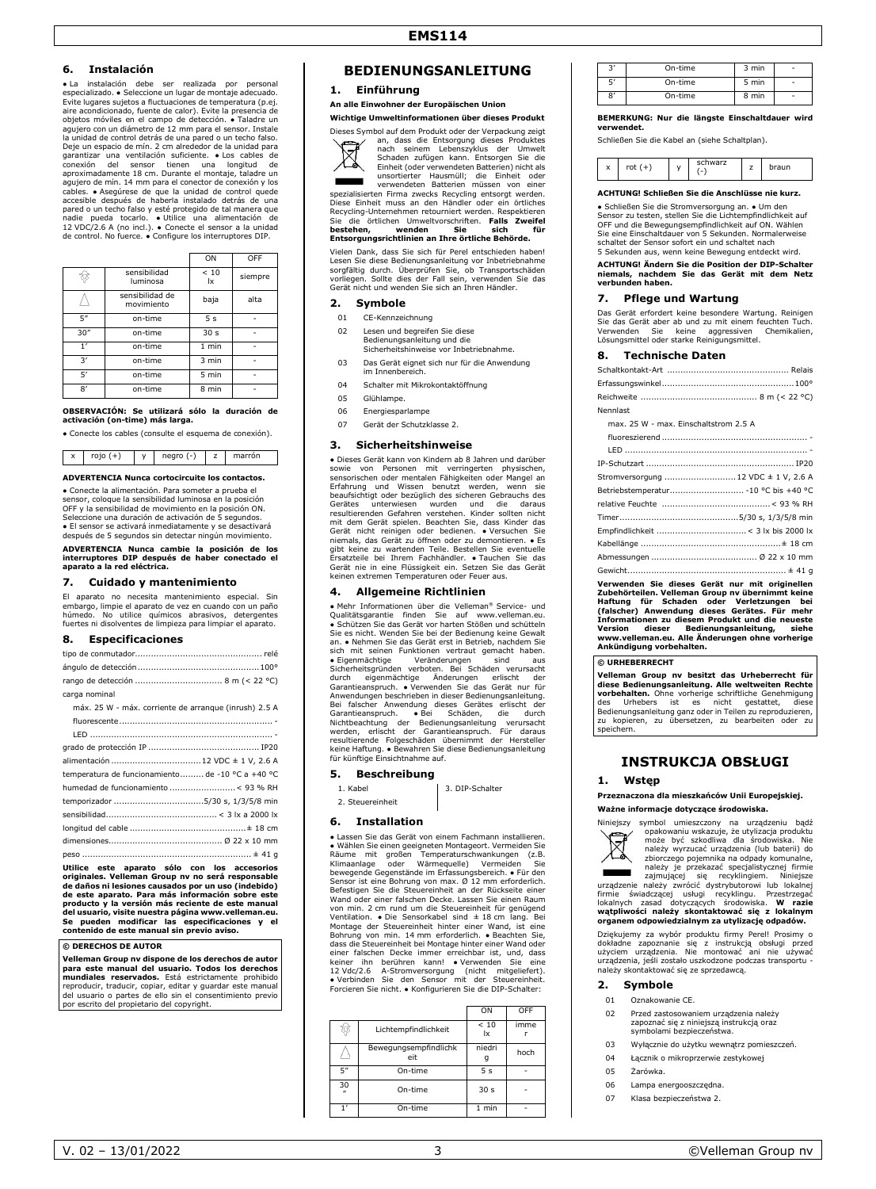#### **6. Instalación**

● La instalación debe ser realizada por personal especializado. ● Seleccione un lugar de montaje adecuado. Evite lugares sujetos a fluctuaciones de temperatura (p.ej. aire acondicionado, fuente de calor). Evite la presencia de objetos móviles en el campo de detección. ● Taladre un agujero con un diámetro de 12 mm para el sensor. Instale la unidad de control detrás de una pared o un techo falso. Deje un espacio de mín. 2 cm alrededor de la unidad para garantizar una ventilación suficiente. ● Los cables de conexión del sensor tienen una longitud de aproximadamente 18 cm. Durante el montaje, taladre un<br>agujero de mín. 14 mm para el conector de conexión y los<br>cables. • Asegúrese de que la unidad de control quede accesible después de haberla instalado detrás de una pared o un techo falso y esté protegido de tal manera que nadie pueda tocarlo. ● Utilice una alimentación de 12 VDC/2.6 A (no incl.). ● Conecte el sensor a la unidad de control. No fuerce. ● Configure los interruptores DIP.

|               |                               | ON              | OFF     |
|---------------|-------------------------------|-----------------|---------|
|               | sensibilidad<br>luminosa      | < 10<br>Ιx      | siempre |
|               | sensibilidad de<br>movimiento | baja            | alta    |
| 5"            | on-time                       | 5 <sub>s</sub>  |         |
| 30''          | on-time                       | 30 <sub>s</sub> |         |
| 1'            | on-time                       | $1$ min         |         |
| 3'            | on-time                       | 3 min           |         |
| 51            | on-time                       | 5 min           |         |
| $\mathsf{R}'$ | on-time                       | 8 min           |         |

**OBSERVACIÓN: Se utilizará sólo la duración de activación (on-time) más larga.**

● Conecte los cables (consulte el esquema de conexión).

x rojo (+) y negro (-) z marrón

#### **ADVERTENCIA Nunca cortocircuite los contactos.**

● Conecte la alimentación. Para someter a prueba el sensor, coloque la sensibilidad luminosa en la posición OFF y la sensibilidad de movimiento en la posición ON. Seleccione una duración de activación de 5 segundos. ● El sensor se activará inmediatamente y se desactivará después de 5 segundos sin detectar ningún movimiento.

**ADVERTENCIA Nunca cambie la posición de los interruptores DIP después de haber conectado el aparato a la red eléctrica.**

#### **7. Cuidado y mantenimiento**

El aparato no necesita mantenimiento especial. Sin embargo, limpie el aparato de vez en cuando con un paño húmedo. No utilice químicos abrasivos, detergentes fuertes ni disolventes de limpieza para limpiar el aparato.

#### **8. Especificaciones**

| Utilice este aparato sólo con los accesorios<br>originales. Velleman Group nv no será responsable<br>de daños ni lesiones causados por un uso (indebido)<br>de este aparato. Para más información sobre este<br>producto y la versión más reciente de este manual<br>dal concede intelle proventue périne concernalisment en l |
|--------------------------------------------------------------------------------------------------------------------------------------------------------------------------------------------------------------------------------------------------------------------------------------------------------------------------------|
|                                                                                                                                                                                                                                                                                                                                |
|                                                                                                                                                                                                                                                                                                                                |
|                                                                                                                                                                                                                                                                                                                                |
|                                                                                                                                                                                                                                                                                                                                |
|                                                                                                                                                                                                                                                                                                                                |
|                                                                                                                                                                                                                                                                                                                                |
| temperatura de funcionamiento de -10 °C a +40 °C                                                                                                                                                                                                                                                                               |
|                                                                                                                                                                                                                                                                                                                                |
|                                                                                                                                                                                                                                                                                                                                |
|                                                                                                                                                                                                                                                                                                                                |
|                                                                                                                                                                                                                                                                                                                                |
| máx. 25 W - máx. corriente de arranque (inrush) 2.5 A                                                                                                                                                                                                                                                                          |
| carga nominal                                                                                                                                                                                                                                                                                                                  |
|                                                                                                                                                                                                                                                                                                                                |
|                                                                                                                                                                                                                                                                                                                                |
|                                                                                                                                                                                                                                                                                                                                |

**del usuario, visite nuestra página www.velleman.eu. Se pueden modificar las especificaciones y el contenido de este manual sin previo aviso.**

#### **© DERECHOS DE AUTOR**

**Velleman Group nv dispone de los derechos de autor para este manual del usuario. Todos los derechos mundiales reservados.** Está estrictamente prohibido reproducir, traducir, copiar, editar y guardar este manual del usuario o partes de ello sin el consentimiento previo por escrito del propietario del copyright.

## **BEDIENUNGSANLEITUNG**

**1. Einführung**

#### **An alle Einwohner der Europäischen Union**

**Wichtige Umweltinformationen über dieses Produkt** Dieses Symbol auf dem Produkt oder der Verpackung zeigt



an, dass die Entsorgung dieses Produktes nach seinem Lebenszyklus der Umwelt Schaden zufügen kann. Entsorgen Sie die Einheit (oder verwendeten Batterien) nicht als

unsortierter Hausmüll; die Einheit oder verwendeten Batterien müssen von einer spezialisierten Firma zwecks Recycling entsorgt werden. Diese Einheit muss an den Händler oder ein örtliches Recycling-Unternehmen retourniert werden. Respektieren<br>Sie die örtlichen Umweltvorschriften. **Falls Zweifel**<br>**bestehen, wenden Sie sich für behörde.**<br>**Entsorgungsrichtlinien an Ihre örtliche Behörde.** 

Vielen Dank, dass Sie sich für Perel entschieden haben! Lesen Sie diese Bedienungsanleitung vor Inbetriebnahme sorgfältig durch. Überprüfen Sie, ob Transportschäden vorliegen. Sollte dies der Fall sein, verwenden Sie das Gerät nicht und wenden Sie sich an Ihren Händler.

#### **2. Symbole**

- 01 CE-Kennzeichnung
- 02 Lesen und begreifen Sie diese Bedienungsanleitung und die Sicherheitshinweise vor Inbetriebnahme.
- 03 Das Gerät eignet sich nur für die Anwendung
- im Innenbereich.
- 04 Schalter mit Mikrokontaktöffnung 05 Glühlampe.
- 
- 06 Energiesparlampe 07 Gerät der Schutzklasse 2.

#### **3. Sicherheitshinweise**

● Dieses Gerät kann von Kindern ab 8 Jahren und darüber sowie von Personen mit verringerten physischen,<br>sensorischen oder mentalen Fähigkeiten oder Mangel an<br>Erfahrung und Wissen benutzt werden, wenn sie<br>beaufsichtigt oder bezüglich des sicheren Gebrauchs des Gerätes unterwiesen wurden und die daraus<br>resultierenden Gefahren verstehen. Kinder sollten nicht<br>mit dem Gerät spielen. Beachten Sie, dass Kinder das<br>Gerät nicht reinigen oder bedienen. • Versuchen Sie<br>niemals, das Gerät gibt keine zu wartenden Teile. Bestellen Sie eventuelle Ersatzteile bei Ihrem Fachhändler. ● Tauchen Sie das Gerät nie in eine Flüssigkeit ein. Setzen Sie das Gerät keinen extremen Temperaturen oder Feuer aus.

#### **4. Allgemeine Richtlinien**

● Mehr Informationen über die Velleman® Service- und Qualitätsgarantie finden Sie auf www.velleman.eu. ● Schützen Sie das Gerät vor harten Stößen und schütteln Sie es nicht. Wenden Sie bei der Bedienung keine Gewalt an. ● Nehmen Sie das Gerät erst in Betrieb, nachdem Sie sich mit seinen Funktionen vertraut gemacht haben. ● Eigenmächtige Veränderungen sind aus Sicherheitsgründen verboten. Bei Schäden verursacht durch eigenmächtige Änderungen erlischt der Garantieanspruch. ● Verwenden Sie das Gerät nur für Anwendungen beschrieben in dieser Bedienungsanleitung.<br>Bei falscher Anwendung dieses Gerätse relisiont der<br>Garantieanspruch. ● Bei Schäden, die durch<br>Nichtbeachtung der Bedienungsanleitung verursacht<br>werden, erlischt der

#### **5. Beschreibung**

1. Kabel 1. Nabel 1. Kabel 2. DIP-Schalter

# 2. Steuereinheit

## **6. Installation**

ssen Sie das Gerät von einem Fachmann installieren. ● Wählen Sie einen geeigneten Montageort. Vermeiden Sie Räume mit großen Temperaturschwankungen (z.B. Klimaanlage oder Wärmequelle) Vermeiden Sie bewegende Gegenstände im Erfassungsbereich. ● Für den Sensor ist eine Bohrung von max. Ø 12 mm erforderlich. Befestigen Sie die Steuereinheit an der Rückseite einer Wand oder einer falschen Decke. Lassen Sie einen Raum von min. 2 cm rund um die Steuereinheit für genügend Ventilation. ● Die Sensorkabel sind ± 18 cm lang. Bei<br>Montage der Steuereinheit hinter einer Wand, ist eine<br>Bohrung von min. 14 mm erforderlich. ● Beachten Sie,<br>dass die Steuereinheit bei Montage hinter einer Wand oder einer falschen Decke immer erreichbar ist, und, dass<br>keiner ihn berühren kann! ● Verwenden Sie eine<br>12 Vdc/2.6 A-Stromversorgung (nicht mitgeliefert).<br>● Verbinden Sie den Sensor mit der Steuereinheit. Forcieren Sie nicht. ● Konfigurieren Sie die DIP-Schalter:

|                        |                              | ON              | OFF  |
|------------------------|------------------------------|-----------------|------|
|                        | Lichtempfindlichkeit         | < 10<br>Ιx      | imme |
|                        | Bewegungsempfindlichk<br>eit | niedri<br>g     | hoch |
| 5"                     | On-time                      | 5 <sub>s</sub>  |      |
| 30<br>$\boldsymbol{r}$ | On-time                      | 30 <sub>s</sub> |      |
|                        | On-time                      | 1 min           |      |

| 3′ | On-time | 3 min | ٠              |
|----|---------|-------|----------------|
| 51 | On-time | 5 min | ٠              |
| 8' | On-time | 8 min | $\overline{a}$ |

#### **BEMERKUNG: Nur die längste Einschaltdauer wird**

Schließen Sie die Kabel an (siehe Schaltplan).

**verwendet.**

| x | $\vee$ | schwarz<br>- | <u>.</u> | raun |
|---|--------|--------------|----------|------|

# **ACHTUNG! Schließen Sie die Anschlüsse nie kurz.**

● Schließen Sie die Stromversorgung an. ● Um den Sensor zu testen, stellen Sie die Lichtempfindlichkeit auf OFF und die Bewegungsempfindlichkeit auf ON. Wählen Sie eine Einschaltdauer von 5 Sekunden. Normalerweise schaltet der Sensor sofort ein und schaltet nach 5 Sekunden aus, wenn keine Bewegung entdeckt wird.

# **ACHTUNG! Ändern Sie die Position der DIP-Schalter niemals, nachdem Sie das Gerät mit dem Netz verbunden haben.**

#### **7. Pflege und Wartung**

Das Gerät erfordert keine besondere Wartung. Reinigen Sie das Gerät aber ab und zu mit einem feuchten Tuch. Verwenden Sie keine aggressiven Chemikalien, Sie das Senat doer die dina zu mit einem Neuvorschen<br>Verwenden – Sie – keine – aggressiven<br>Lösungsmittel oder starke Reinigungsmittel.

#### **8. Technische Daten**

| Nennlast                                                                                                                                                                                                                                                                                                                                      |                                   |
|-----------------------------------------------------------------------------------------------------------------------------------------------------------------------------------------------------------------------------------------------------------------------------------------------------------------------------------------------|-----------------------------------|
| max, 25 W - max. Finschaltstrom 2.5 A                                                                                                                                                                                                                                                                                                         |                                   |
|                                                                                                                                                                                                                                                                                                                                               |                                   |
|                                                                                                                                                                                                                                                                                                                                               |                                   |
|                                                                                                                                                                                                                                                                                                                                               |                                   |
| Stromversorgung  12 VDC ± 1 V, 2.6 A                                                                                                                                                                                                                                                                                                          |                                   |
| Betriebstemperatur - 10 °C bis +40 °C                                                                                                                                                                                                                                                                                                         |                                   |
|                                                                                                                                                                                                                                                                                                                                               |                                   |
|                                                                                                                                                                                                                                                                                                                                               |                                   |
|                                                                                                                                                                                                                                                                                                                                               |                                   |
|                                                                                                                                                                                                                                                                                                                                               |                                   |
|                                                                                                                                                                                                                                                                                                                                               |                                   |
|                                                                                                                                                                                                                                                                                                                                               |                                   |
| Verwenden Sie dieses Gerät nur mit originellen<br>Zubehörteilen. Velleman Group nv übernimmt keine<br>Haftung für Schaden oder Verletzungen bei<br>(falscher) Anwendung dieses Gerätes. Für mehr<br>Informationen zu diesem Produkt und die neueste<br>Version<br>www.velleman.eu. Alle Änderungen ohne vorherige<br>Ankündigung vorbehalten. | dieser Bedienungsanleitung, siehe |
| © URHEBERRECHT                                                                                                                                                                                                                                                                                                                                |                                   |

**Velleman Group nv besitzt das Urheberrecht für diese Bedienungsanleitung. Alle weltweiten Rechte vorbehalten.** Ohne vorherige schriftliche Genehmigung des Urhebers ist es nicht gestattet, diese Bedienungsanleitung ganz oder in Teilen zu reproduzieren, zu kopieren, zu übersetzen, zu bearbeiten oder zu speichern.

# **INSTRUKCJA OBSŁUGI**

#### **1. Wstęp**

**Przeznaczona dla mieszkańców Unii Europejskiej.**

**Ważne informacje dotyczące środowiska.**



Dziękujemy za wybór produktu firmy Perel! Prosimy o dokładne zapoznanie się z instrukcją obsługi przed użyciem urządzenia. Nie montować ani nie używać urządzenia, jeśli zostało uszkodzone podczas transportu należy skontaktować się ze sprzedawcą.

#### **2. Symbole**

- 01 Oznakowanie CE.
- 02 Przed zastosowaniem urządzenia należy zapoznać się z niniejszą instrukcją oraz symbolami bezpieczeństwa.
- 03 Wyłącznie do użytku wewnątrz pomieszczeń.
- 04 Łącznik o mikroprzerwie zestykowej
- 05 Żarówka.
- 06 Lampa energooszczędna.
- 07 Klasa bezpieczeństwa 2.